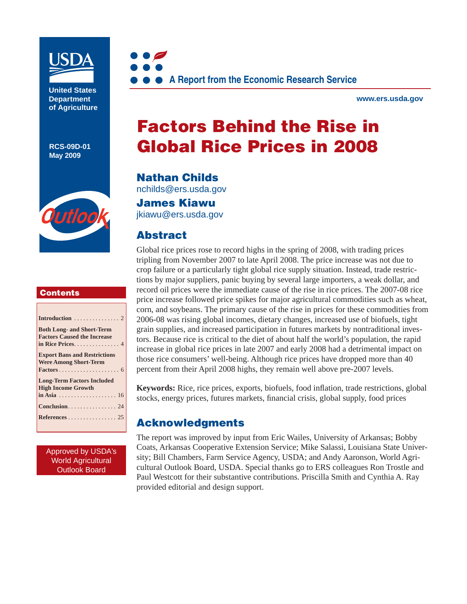

**United States Department of Agriculture** 

**RCS-09D-01**



#### **Contents**

| Introduction $\ldots \ldots \ldots \ldots 2$                                                                                 |  |  |  |
|------------------------------------------------------------------------------------------------------------------------------|--|--|--|
| <b>Both Long- and Short-Term</b><br><b>Factors Caused the Increase</b><br>in Rice Prices. 4                                  |  |  |  |
| <b>Export Bans and Restrictions</b><br><b>Were Among Short-Term</b><br>$Factors \ldots \ldots \ldots \ldots \ldots \ldots 6$ |  |  |  |
| <b>Long-Term Factors Included</b><br><b>High Income Growth</b>                                                               |  |  |  |
|                                                                                                                              |  |  |  |
|                                                                                                                              |  |  |  |
| References 25                                                                                                                |  |  |  |
|                                                                                                                              |  |  |  |

Approved by USDA's World Agricultural Outlook Board



**www.ers.usda.gov** 

# **Factors Behind the Rise in**  RCS-09D-01 **Global Rice Prices in 2008**

#### **Nathan Childs**

nchilds@ers.usda.gov

# **James Kiawu**

jkiawu@ers.usda.gov

# **Abstract**

Global rice prices rose to record highs in the spring of 2008, with trading prices tripling from November 2007 to late April 2008. The price increase was not due to crop failure or a particularly tight global rice supply situation. Instead, trade restrictions by major suppliers, panic buying by several large importers, a weak dollar, and record oil prices were the immediate cause of the rise in rice prices. The 2007-08 rice price increase followed price spikes for major agricultural commodities such as wheat, corn, and soybeans. The primary cause of the rise in prices for these commodities from 2006-08 was rising global incomes, dietary changes, increased use of biofuels, tight grain supplies, and increased participation in futures markets by nontraditional investors. Because rice is critical to the diet of about half the world's population, the rapid increase in global rice prices in late 2007 and early 2008 had a detrimental impact on those rice consumers' well-being. Although rice prices have dropped more than 40 percent from their April 2008 highs, they remain well above pre-2007 levels.

**Keywords:** Rice, rice prices, exports, biofuels, food inflation, trade restrictions, global stocks, energy prices, futures markets, financial crisis, global supply, food prices

### **Acknowledgments**

The report was improved by input from Eric Wailes, University of Arkansas; Bobby Coats, Arkansas Cooperative Extension Service; Mike Salassi, Louisiana State University; Bill Chambers, Farm Service Agency, USDA; and Andy Aaronson, World Agricultural Outlook Board, USDA. Special thanks go to ERS colleagues Ron Trostle and Paul Westcott for their substantive contributions. Priscilla Smith and Cynthia A. Ray provided editorial and design support.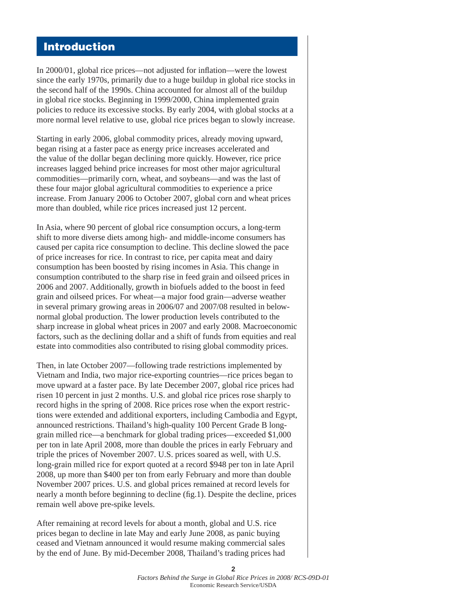### **Introduction**

In 2000/01, global rice prices—not adjusted for inflation—were the lowest since the early 1970s, primarily due to a huge buildup in global rice stocks in the second half of the 1990s. China accounted for almost all of the buildup in global rice stocks. Beginning in 1999/2000, China implemented grain policies to reduce its excessive stocks. By early 2004, with global stocks at a more normal level relative to use, global rice prices began to slowly increase.

Starting in early 2006, global commodity prices, already moving upward, began rising at a faster pace as energy price increases accelerated and the value of the dollar began declining more quickly. However, rice price increases lagged behind price increases for most other major agricultural commodities—primarily corn, wheat, and soybeans—and was the last of these four major global agricultural commodities to experience a price increase. From January 2006 to October 2007, global corn and wheat prices more than doubled, while rice prices increased just 12 percent.

In Asia, where 90 percent of global rice consumption occurs, a long-term shift to more diverse diets among high- and middle-income consumers has caused per capita rice consumption to decline. This decline slowed the pace of price increases for rice. In contrast to rice, per capita meat and dairy consumption has been boosted by rising incomes in Asia. This change in consumption contributed to the sharp rise in feed grain and oilseed prices in 2006 and 2007. Additionally, growth in biofuels added to the boost in feed grain and oilseed prices. For wheat—a major food grain—adverse weather in several primary growing areas in 2006/07 and 2007/08 resulted in belownormal global production. The lower production levels contributed to the sharp increase in global wheat prices in 2007 and early 2008. Macroeconomic factors, such as the declining dollar and a shift of funds from equities and real estate into commodities also contributed to rising global commodity prices.

Then, in late October 2007—following trade restrictions implemented by Vietnam and India, two major rice-exporting countries—rice prices began to move upward at a faster pace. By late December 2007, global rice prices had risen 10 percent in just 2 months. U.S. and global rice prices rose sharply to record highs in the spring of 2008. Rice prices rose when the export restrictions were extended and additional exporters, including Cambodia and Egypt, announced restrictions. Thailand's high-quality 100 Percent Grade B longgrain milled rice—a benchmark for global trading prices—exceeded \$1,000 per ton in late April 2008, more than double the prices in early February and triple the prices of November 2007. U.S. prices soared as well, with U.S. long-grain milled rice for export quoted at a record \$948 per ton in late April 2008, up more than \$400 per ton from early February and more than double November 2007 prices. U.S. and global prices remained at record levels for nearly a month before beginning to decline (fig.1). Despite the decline, prices remain well above pre-spike levels.

After remaining at record levels for about a month, global and U.S. rice prices began to decline in late May and early June 2008, as panic buying ceased and Vietnam announced it would resume making commercial sales by the end of June. By mid-December 2008, Thailand's trading prices had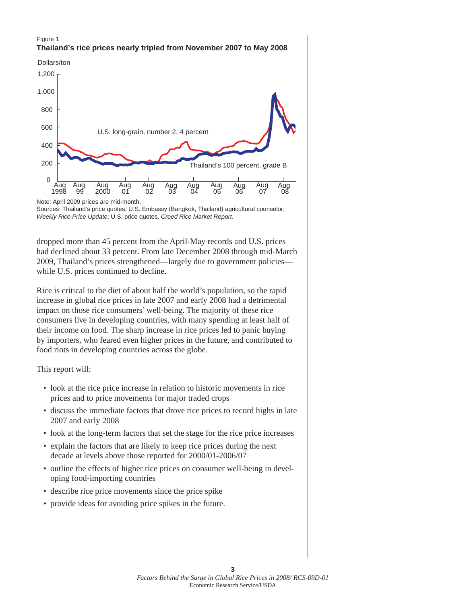#### Figure 1 **Thailand's rice prices nearly tripled from November 2007 to May 2008**



Note: April 2009 prices are mid-month. Sources: Thailand's price quotes, U.S. Embassy (Bangkok, Thailand) agricultural counselor, *Weekly Rice Price Update*; U.S. price quotes, *Creed Rice Market Report*.

dropped more than 45 percent from the April-May records and U.S. prices had declined about 33 percent. From late December 2008 through mid-March 2009, Thailand's prices strengthened—largely due to government policies while U.S. prices continued to decline.

Rice is critical to the diet of about half the world's population, so the rapid increase in global rice prices in late 2007 and early 2008 had a detrimental impact on those rice consumers' well-being. The majority of these rice consumers live in developing countries, with many spending at least half of their income on food. The sharp increase in rice prices led to panic buying by importers, who feared even higher prices in the future, and contributed to food riots in developing countries across the globe.

This report will:

- look at the rice price increase in relation to historic movements in rice prices and to price movements for major traded crops
- discuss the immediate factors that drove rice prices to record highs in late 2007 and early 2008
- look at the long-term factors that set the stage for the rice price increases
- explain the factors that are likely to keep rice prices during the next decade at levels above those reported for 2000/01-2006/07
- outline the effects of higher rice prices on consumer well-being in developing food-importing countries
- describe rice price movements since the price spike
- provide ideas for avoiding price spikes in the future.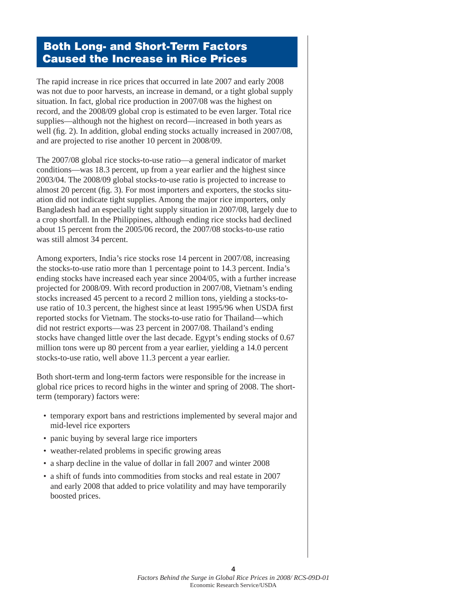# **Both Long- and Short-Term Factors Caused the Increase in Rice Prices**

The rapid increase in rice prices that occurred in late 2007 and early 2008 was not due to poor harvests, an increase in demand, or a tight global supply situation. In fact, global rice production in 2007/08 was the highest on record, and the 2008/09 global crop is estimated to be even larger. Total rice supplies—although not the highest on record—increased in both years as well (fig. 2). In addition, global ending stocks actually increased in 2007/08, and are projected to rise another 10 percent in 2008/09.

The 2007/08 global rice stocks-to-use ratio—a general indicator of market conditions—was 18.3 percent, up from a year earlier and the highest since 2003/04. The 2008/09 global stocks-to-use ratio is projected to increase to almost 20 percent (fig. 3). For most importers and exporters, the stocks situation did not indicate tight supplies. Among the major rice importers, only Bangladesh had an especially tight supply situation in 2007/08, largely due to a crop shortfall. In the Philippines, although ending rice stocks had declined about 15 percent from the 2005/06 record, the 2007/08 stocks-to-use ratio was still almost 34 percent.

Among exporters, India's rice stocks rose 14 percent in 2007/08, increasing the stocks-to-use ratio more than 1 percentage point to 14.3 percent. India's ending stocks have increased each year since 2004/05, with a further increase projected for 2008/09. With record production in 2007/08, Vietnam's ending stocks increased 45 percent to a record 2 million tons, yielding a stocks-touse ratio of 10.3 percent, the highest since at least 1995/96 when USDA first reported stocks for Vietnam. The stocks-to-use ratio for Thailand—which did not restrict exports—was 23 percent in 2007/08. Thailand's ending stocks have changed little over the last decade. Egypt's ending stocks of 0.67 million tons were up 80 percent from a year earlier, yielding a 14.0 percent stocks-to-use ratio, well above 11.3 percent a year earlier.

Both short-term and long-term factors were responsible for the increase in global rice prices to record highs in the winter and spring of 2008. The shortterm (temporary) factors were:

- temporary export bans and restrictions implemented by several major and mid-level rice exporters
- panic buying by several large rice importers
- weather-related problems in specific growing areas
- a sharp decline in the value of dollar in fall 2007 and winter 2008
- a shift of funds into commodities from stocks and real estate in 2007 and early 2008 that added to price volatility and may have temporarily boosted prices.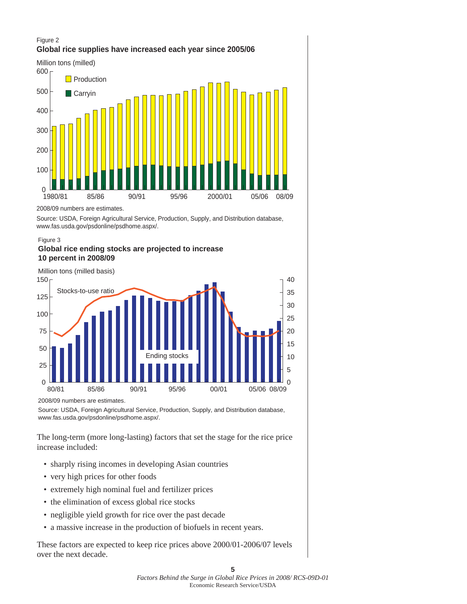#### Figure 2 **Global rice supplies have increased each year since 2005/06**



2008/09 numbers are estimates.

Source: USDA, Foreign Agricultural Service, Production, Supply, and Distribution database, www.fas.usda.gov/psdonline/psdhome.aspx/.

#### Figure 3 **Global rice ending stocks are projected to increase 10 percent in 2008/09**



2008/09 numbers are estimates.

Source: USDA, Foreign Agricultural Service, Production, Supply, and Distribution database, www.fas.usda.gov/psdonline/psdhome.aspx/.

The long-term (more long-lasting) factors that set the stage for the rice price increase included:

- sharply rising incomes in developing Asian countries
- very high prices for other foods
- extremely high nominal fuel and fertilizer prices
- the elimination of excess global rice stocks
- negligible yield growth for rice over the past decade
- a massive increase in the production of biofuels in recent years.

These factors are expected to keep rice prices above 2000/01-2006/07 levels over the next decade.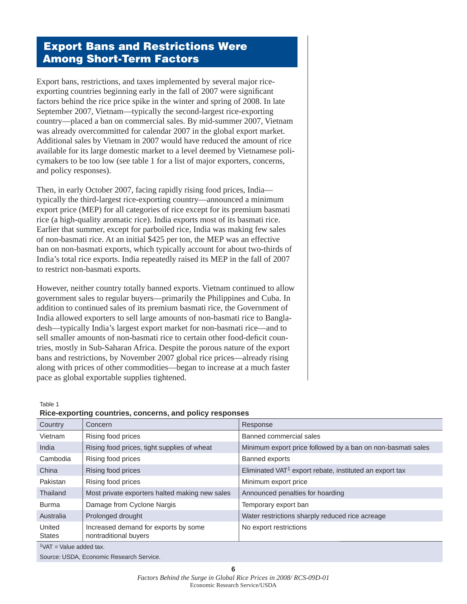# **Export Bans and Restrictions Were Among Short-Term Factors**

Export bans, restrictions, and taxes implemented by several major riceexporting countries beginning early in the fall of 2007 were significant factors behind the rice price spike in the winter and spring of 2008. In late September 2007, Vietnam—typically the second-largest rice-exporting country—placed a ban on commercial sales. By mid-summer 2007, Vietnam was already overcommitted for calendar 2007 in the global export market. Additional sales by Vietnam in 2007 would have reduced the amount of rice available for its large domestic market to a level deemed by Vietnamese policymakers to be too low (see table 1 for a list of major exporters, concerns, and policy responses).

Then, in early October 2007, facing rapidly rising food prices, India typically the third-largest rice-exporting country—announced a minimum export price (MEP) for all categories of rice except for its premium basmati rice (a high-quality aromatic rice). India exports most of its basmati rice. Earlier that summer, except for parboiled rice, India was making few sales of non-basmati rice. At an initial \$425 per ton, the MEP was an effective ban on non-basmati exports, which typically account for about two-thirds of India's total rice exports. India repeatedly raised its MEP in the fall of 2007 to restrict non-basmati exports.

However, neither country totally banned exports. Vietnam continued to allow government sales to regular buyers—primarily the Philippines and Cuba. In addition to continued sales of its premium basmati rice, the Government of India allowed exporters to sell large amounts of non-basmati rice to Bangladesh—typically India's largest export market for non-basmati rice—and to sell smaller amounts of non-basmati rice to certain other food-deficit countries, mostly in Sub-Saharan Africa. Despite the porous nature of the export bans and restrictions, by November 2007 global rice prices—already rising along with prices of other commodities—began to increase at a much faster pace as global exportable supplies tightened.

| Country                 | Concern                                                       | Response                                                            |  |
|-------------------------|---------------------------------------------------------------|---------------------------------------------------------------------|--|
| Vietnam                 | Rising food prices                                            | Banned commercial sales                                             |  |
| India                   | Rising food prices, tight supplies of wheat                   | Minimum export price followed by a ban on non-basmati sales         |  |
| Cambodia                | Rising food prices                                            | <b>Banned exports</b>                                               |  |
| China                   | Rising food prices                                            | Eliminated VAT <sup>1</sup> export rebate, instituted an export tax |  |
| Pakistan                | Rising food prices                                            | Minimum export price                                                |  |
| Thailand                | Most private exporters halted making new sales                | Announced penalties for hoarding                                    |  |
| <b>Burma</b>            | Damage from Cyclone Nargis                                    | Temporary export ban                                                |  |
| Australia               | Prolonged drought                                             | Water restrictions sharply reduced rice acreage                     |  |
| United<br><b>States</b> | Increased demand for exports by some<br>nontraditional buyers | No export restrictions                                              |  |

Table 1 **Rice-exporting countries, concerns, and policy responses**

 $1$ VAT = Value added tax.

Source: USDA, Economic Research Service.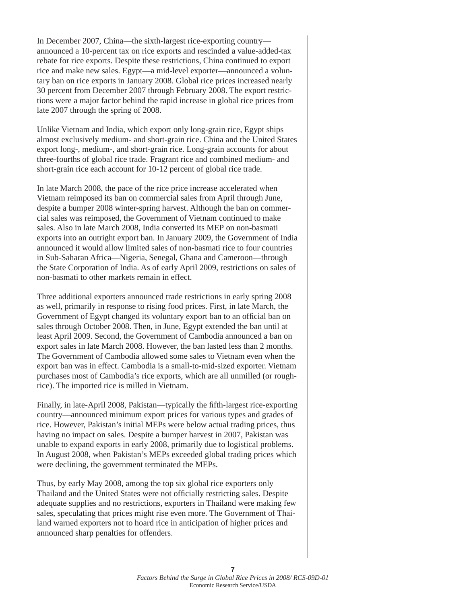In December 2007, China—the sixth-largest rice-exporting country announced a 10-percent tax on rice exports and rescinded a value-added-tax rebate for rice exports. Despite these restrictions, China continued to export rice and make new sales. Egypt—a mid-level exporter—announced a voluntary ban on rice exports in January 2008. Global rice prices increased nearly 30 percent from December 2007 through February 2008. The export restrictions were a major factor behind the rapid increase in global rice prices from late 2007 through the spring of 2008.

Unlike Vietnam and India, which export only long-grain rice, Egypt ships almost exclusively medium- and short-grain rice. China and the United States export long-, medium-, and short-grain rice. Long-grain accounts for about three-fourths of global rice trade. Fragrant rice and combined medium- and short-grain rice each account for 10-12 percent of global rice trade.

In late March 2008, the pace of the rice price increase accelerated when Vietnam reimposed its ban on commercial sales from April through June, despite a bumper 2008 winter-spring harvest. Although the ban on commercial sales was reimposed, the Government of Vietnam continued to make sales. Also in late March 2008, India converted its MEP on non-basmati exports into an outright export ban. In January 2009, the Government of India announced it would allow limited sales of non-basmati rice to four countries in Sub-Saharan Africa—Nigeria, Senegal, Ghana and Cameroon—through the State Corporation of India. As of early April 2009, restrictions on sales of non-basmati to other markets remain in effect.

Three additional exporters announced trade restrictions in early spring 2008 as well, primarily in response to rising food prices. First, in late March, the Government of Egypt changed its voluntary export ban to an official ban on sales through October 2008. Then, in June, Egypt extended the ban until at least April 2009. Second, the Government of Cambodia announced a ban on export sales in late March 2008. However, the ban lasted less than 2 months. The Government of Cambodia allowed some sales to Vietnam even when the export ban was in effect. Cambodia is a small-to-mid-sized exporter. Vietnam purchases most of Cambodia's rice exports, which are all unmilled (or roughrice). The imported rice is milled in Vietnam.

Finally, in late-April 2008, Pakistan—typically the fifth-largest rice-exporting country—announced minimum export prices for various types and grades of rice. However, Pakistan's initial MEPs were below actual trading prices, thus having no impact on sales. Despite a bumper harvest in 2007, Pakistan was unable to expand exports in early 2008, primarily due to logistical problems. In August 2008, when Pakistan's MEPs exceeded global trading prices which were declining, the government terminated the MEPs.

Thus, by early May 2008, among the top six global rice exporters only Thailand and the United States were not officially restricting sales. Despite adequate supplies and no restrictions, exporters in Thailand were making few sales, speculating that prices might rise even more. The Government of Thailand warned exporters not to hoard rice in anticipation of higher prices and announced sharp penalties for offenders.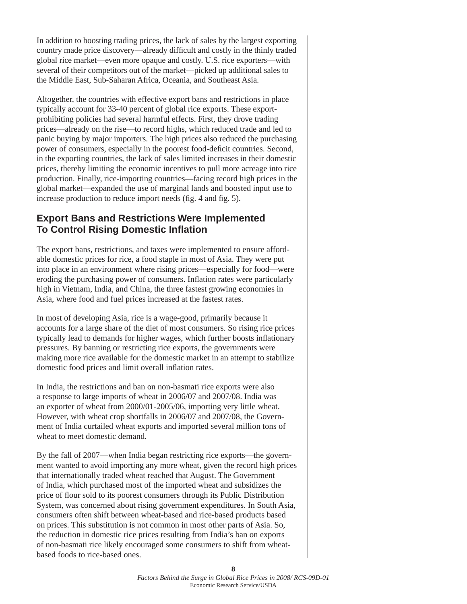In addition to boosting trading prices, the lack of sales by the largest exporting country made price discovery—already difficult and costly in the thinly traded global rice market—even more opaque and costly. U.S. rice exporters—with several of their competitors out of the market—picked up additional sales to the Middle East, Sub-Saharan Africa, Oceania, and Southeast Asia.

Altogether, the countries with effective export bans and restrictions in place typically account for 33-40 percent of global rice exports. These exportprohibiting policies had several harmful effects. First, they drove trading prices—already on the rise—to record highs, which reduced trade and led to panic buying by major importers. The high prices also reduced the purchasing power of consumers, especially in the poorest food-deficit countries. Second, in the exporting countries, the lack of sales limited increases in their domestic prices, thereby limiting the economic incentives to pull more acreage into rice production. Finally, rice-importing countries—facing record high prices in the global market—expanded the use of marginal lands and boosted input use to increase production to reduce import needs (fig. 4 and fig. 5).

#### **Export Bans and Restrictions Were Implemented To Control Rising Domestic Inflation**

The export bans, restrictions, and taxes were implemented to ensure affordable domestic prices for rice, a food staple in most of Asia. They were put into place in an environment where rising prices—especially for food—were eroding the purchasing power of consumers. Inflation rates were particularly high in Vietnam, India, and China, the three fastest growing economies in Asia, where food and fuel prices increased at the fastest rates.

In most of developing Asia, rice is a wage-good, primarily because it accounts for a large share of the diet of most consumers. So rising rice prices typically lead to demands for higher wages, which further boosts inflationary pressures. By banning or restricting rice exports, the governments were making more rice available for the domestic market in an attempt to stabilize domestic food prices and limit overall inflation rates.

In India, the restrictions and ban on non-basmati rice exports were also a response to large imports of wheat in 2006/07 and 2007/08. India was an exporter of wheat from 2000/01-2005/06, importing very little wheat. However, with wheat crop shortfalls in 2006/07 and 2007/08, the Government of India curtailed wheat exports and imported several million tons of wheat to meet domestic demand.

By the fall of 2007—when India began restricting rice exports—the government wanted to avoid importing any more wheat, given the record high prices that internationally traded wheat reached that August. The Government of India, which purchased most of the imported wheat and subsidizes the price of flour sold to its poorest consumers through its Public Distribution System, was concerned about rising government expenditures. In South Asia, consumers often shift between wheat-based and rice-based products based on prices. This substitution is not common in most other parts of Asia. So, the reduction in domestic rice prices resulting from India's ban on exports of non-basmati rice likely encouraged some consumers to shift from wheatbased foods to rice-based ones.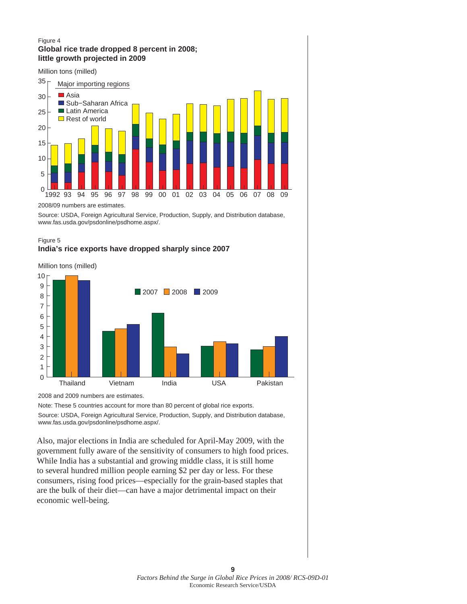#### Figure 4 **Global rice trade dropped 8 percent in 2008; little growth projected in 2009**



2008/09 numbers are estimates.

Source: USDA, Foreign Agricultural Service, Production, Supply, and Distribution database, www.fas.usda.gov/psdonline/psdhome.aspx/.

#### Figure 5 **India's rice exports have dropped sharply since 2007**



2008 and 2009 numbers are estimates.

Note: These 5 countries account for more than 80 percent of global rice exports. Source: USDA, Foreign Agricultural Service, Production, Supply, and Distribution database, www.fas.usda.gov/psdonline/psdhome.aspx/.

Also, major elections in India are scheduled for April-May 2009, with the government fully aware of the sensitivity of consumers to high food prices. While India has a substantial and growing middle class, it is still home to several hundred million people earning \$2 per day or less. For these consumers, rising food prices—especially for the grain-based staples that are the bulk of their diet—can have a major detrimental impact on their economic well-being.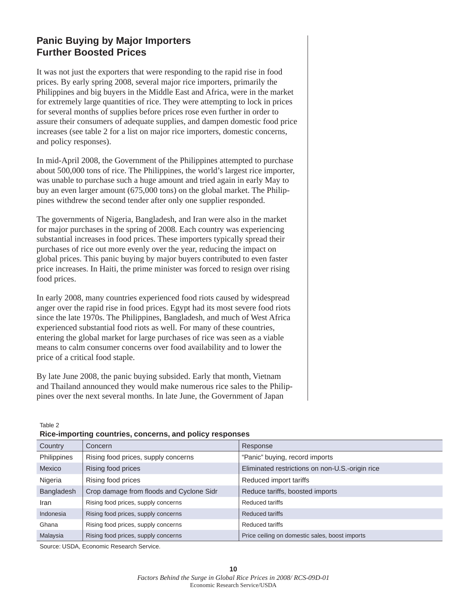### **Panic Buying by Major Importers Further Boosted Prices**

It was not just the exporters that were responding to the rapid rise in food prices. By early spring 2008, several major rice importers, primarily the Philippines and big buyers in the Middle East and Africa, were in the market for extremely large quantities of rice. They were attempting to lock in prices for several months of supplies before prices rose even further in order to assure their consumers of adequate supplies, and dampen domestic food price increases (see table 2 for a list on major rice importers, domestic concerns, and policy responses).

In mid-April 2008, the Government of the Philippines attempted to purchase about 500,000 tons of rice. The Philippines, the world's largest rice importer, was unable to purchase such a huge amount and tried again in early May to buy an even larger amount (675,000 tons) on the global market. The Philippines withdrew the second tender after only one supplier responded.

The governments of Nigeria, Bangladesh, and Iran were also in the market for major purchases in the spring of 2008. Each country was experiencing substantial increases in food prices. These importers typically spread their purchases of rice out more evenly over the year, reducing the impact on global prices. This panic buying by major buyers contributed to even faster price increases. In Haiti, the prime minister was forced to resign over rising food prices.

In early 2008, many countries experienced food riots caused by widespread anger over the rapid rise in food prices. Egypt had its most severe food riots since the late 1970s. The Philippines, Bangladesh, and much of West Africa experienced substantial food riots as well. For many of these countries, entering the global market for large purchases of rice was seen as a viable means to calm consumer concerns over food availability and to lower the price of a critical food staple.

By late June 2008, the panic buying subsided. Early that month, Vietnam and Thailand announced they would make numerous rice sales to the Philippines over the next several months. In late June, the Government of Japan

| Country     | Concern                                  | Response                                        |
|-------------|------------------------------------------|-------------------------------------------------|
| Philippines | Rising food prices, supply concerns      | "Panic" buying, record imports                  |
| Mexico      | Rising food prices                       | Eliminated restrictions on non-U.S.-origin rice |
| Nigeria     | Rising food prices                       | Reduced import tariffs                          |
| Bangladesh  | Crop damage from floods and Cyclone Sidr | Reduce tariffs, boosted imports                 |
| Iran        | Rising food prices, supply concerns      | Reduced tariffs                                 |
| Indonesia   | Rising food prices, supply concerns      | Reduced tariffs                                 |
| Ghana       | Rising food prices, supply concerns      | Reduced tariffs                                 |
| Malaysia    | Rising food prices, supply concerns      | Price ceiling on domestic sales, boost imports  |

Table 2 **Rice-importing countries, concerns, and policy responses**

Source: USDA, Economic Research Service.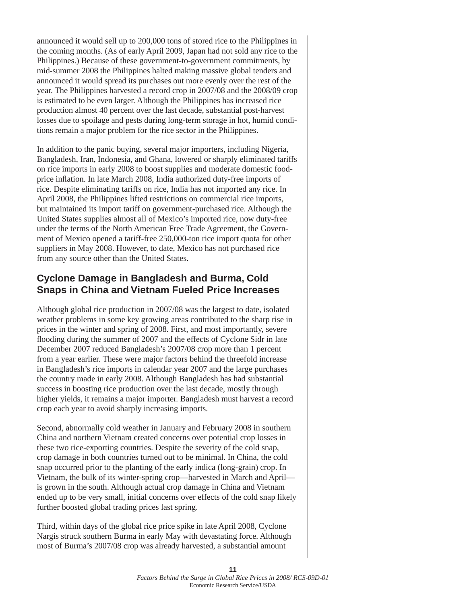announced it would sell up to 200,000 tons of stored rice to the Philippines in the coming months. (As of early April 2009, Japan had not sold any rice to the Philippines.) Because of these government-to-government commitments, by mid-summer 2008 the Philippines halted making massive global tenders and announced it would spread its purchases out more evenly over the rest of the year. The Philippines harvested a record crop in 2007/08 and the 2008/09 crop is estimated to be even larger. Although the Philippines has increased rice production almost 40 percent over the last decade, substantial post-harvest losses due to spoilage and pests during long-term storage in hot, humid conditions remain a major problem for the rice sector in the Philippines.

In addition to the panic buying, several major importers, including Nigeria, Bangladesh, Iran, Indonesia, and Ghana, lowered or sharply eliminated tariffs on rice imports in early 2008 to boost supplies and moderate domestic foodprice inflation. In late March 2008, India authorized duty-free imports of rice. Despite eliminating tariffs on rice, India has not imported any rice. In April 2008, the Philippines lifted restrictions on commercial rice imports, but maintained its import tariff on government-purchased rice. Although the United States supplies almost all of Mexico's imported rice, now duty-free under the terms of the North American Free Trade Agreement, the Government of Mexico opened a tariff-free 250,000-ton rice import quota for other suppliers in May 2008. However, to date, Mexico has not purchased rice from any source other than the United States.

### **Cyclone Damage in Bangladesh and Burma, Cold Snaps in China and Vietnam Fueled Price Increases**

Although global rice production in 2007/08 was the largest to date, isolated weather problems in some key growing areas contributed to the sharp rise in prices in the winter and spring of 2008. First, and most importantly, severe flooding during the summer of 2007 and the effects of Cyclone Sidr in late December 2007 reduced Bangladesh's 2007/08 crop more than 1 percent from a year earlier. These were major factors behind the threefold increase in Bangladesh's rice imports in calendar year 2007 and the large purchases the country made in early 2008. Although Bangladesh has had substantial success in boosting rice production over the last decade, mostly through higher yields, it remains a major importer. Bangladesh must harvest a record crop each year to avoid sharply increasing imports.

Second, abnormally cold weather in January and February 2008 in southern China and northern Vietnam created concerns over potential crop losses in these two rice-exporting countries. Despite the severity of the cold snap, crop damage in both countries turned out to be minimal. In China, the cold snap occurred prior to the planting of the early indica (long-grain) crop. In Vietnam, the bulk of its winter-spring crop—harvested in March and April is grown in the south. Although actual crop damage in China and Vietnam ended up to be very small, initial concerns over effects of the cold snap likely further boosted global trading prices last spring.

Third, within days of the global rice price spike in late April 2008, Cyclone Nargis struck southern Burma in early May with devastating force. Although most of Burma's 2007/08 crop was already harvested, a substantial amount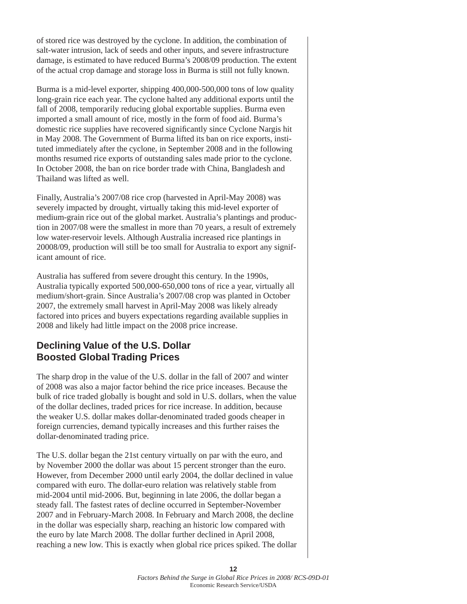of stored rice was destroyed by the cyclone. In addition, the combination of salt-water intrusion, lack of seeds and other inputs, and severe infrastructure damage, is estimated to have reduced Burma's 2008/09 production. The extent of the actual crop damage and storage loss in Burma is still not fully known.

Burma is a mid-level exporter, shipping 400,000-500,000 tons of low quality long-grain rice each year. The cyclone halted any additional exports until the fall of 2008, temporarily reducing global exportable supplies. Burma even imported a small amount of rice, mostly in the form of food aid. Burma's domestic rice supplies have recovered significantly since Cyclone Nargis hit in May 2008. The Government of Burma lifted its ban on rice exports, instituted immediately after the cyclone, in September 2008 and in the following months resumed rice exports of outstanding sales made prior to the cyclone. In October 2008, the ban on rice border trade with China, Bangladesh and Thailand was lifted as well.

Finally, Australia's 2007/08 rice crop (harvested in April-May 2008) was severely impacted by drought, virtually taking this mid-level exporter of medium-grain rice out of the global market. Australia's plantings and production in 2007/08 were the smallest in more than 70 years, a result of extremely low water-reservoir levels. Although Australia increased rice plantings in 20008/09, production will still be too small for Australia to export any significant amount of rice.

Australia has suffered from severe drought this century. In the 1990s, Australia typically exported 500,000-650,000 tons of rice a year, virtually all medium/short-grain. Since Australia's 2007/08 crop was planted in October 2007, the extremely small harvest in April-May 2008 was likely already factored into prices and buyers expectations regarding available supplies in 2008 and likely had little impact on the 2008 price increase.

#### **Declining Value of the U.S. Dollar Boosted Global Trading Prices**

The sharp drop in the value of the U.S. dollar in the fall of 2007 and winter of 2008 was also a major factor behind the rice price inceases. Because the bulk of rice traded globally is bought and sold in U.S. dollars, when the value of the dollar declines, traded prices for rice increase. In addition, because the weaker U.S. dollar makes dollar-denominated traded goods cheaper in foreign currencies, demand typically increases and this further raises the dollar-denominated trading price.

The U.S. dollar began the 21st century virtually on par with the euro, and by November 2000 the dollar was about 15 percent stronger than the euro. However, from December 2000 until early 2004, the dollar declined in value compared with euro. The dollar-euro relation was relatively stable from mid-2004 until mid-2006. But, beginning in late 2006, the dollar began a steady fall. The fastest rates of decline occurred in September-November 2007 and in February-March 2008. In February and March 2008, the decline in the dollar was especially sharp, reaching an historic low compared with the euro by late March 2008. The dollar further declined in April 2008, reaching a new low. This is exactly when global rice prices spiked. The dollar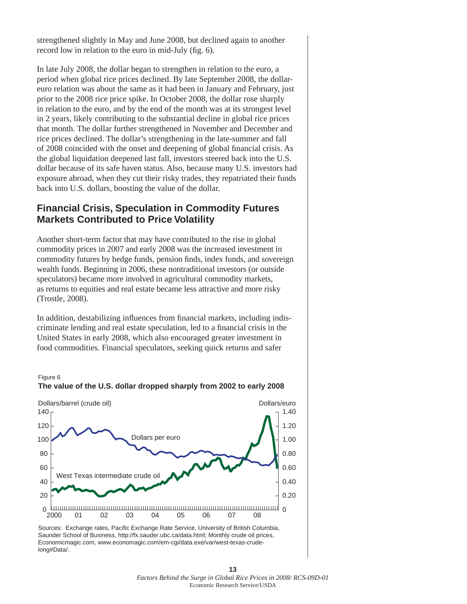strengthened slightly in May and June 2008, but declined again to another record low in relation to the euro in mid-July (fig. 6).

In late July 2008, the dollar began to strengthen in relation to the euro, a period when global rice prices declined. By late September 2008, the dollareuro relation was about the same as it had been in January and February, just prior to the 2008 rice price spike. In October 2008, the dollar rose sharply in relation to the euro, and by the end of the month was at its strongest level in 2 years, likely contributing to the substantial decline in global rice prices that month. The dollar further strengthened in November and December and rice prices declined. The dollar's strengthening in the late-summer and fall of 2008 coincided with the onset and deepening of global financial crisis. As the global liquidation deepened last fall, investors steered back into the U.S. dollar because of its safe haven status. Also, because many U.S. investors had exposure abroad, when they cut their risky trades, they repatriated their funds back into U.S. dollars, boosting the value of the dollar.

#### **Financial Crisis, Speculation in Commodity Futures Markets Contributed to Price Volatility**

Another short-term factor that may have contributed to the rise in global commodity prices in 2007 and early 2008 was the increased investment in commodity futures by hedge funds, pension finds, index funds, and sovereign wealth funds. Beginning in 2006, these nontraditional investors (or outside speculators) became more involved in agricultural commodity markets, as returns to equities and real estate became less attractive and more risky (Trostle, 2008).

In addition, destabilizing influences from financial markets, including indiscriminate lending and real estate speculation, led to a financial crisis in the United States in early 2008, which also encouraged greater investment in food commodities. Financial speculators, seeking quick returns and safer

Figure 6 **The value of the U.S. dollar dropped sharply from 2002 to early 2008**



Sources: Exchange rates, Pacific Exchange Rate Service, University of British Columbia, Saunder School of Business, http://fx.sauder.ubc.ca/data.html; Monthly crude oil prices, Economicmagic.com, www.economagic.com/em-cgi/data.exe/var/west-texas-crudelong#Data/.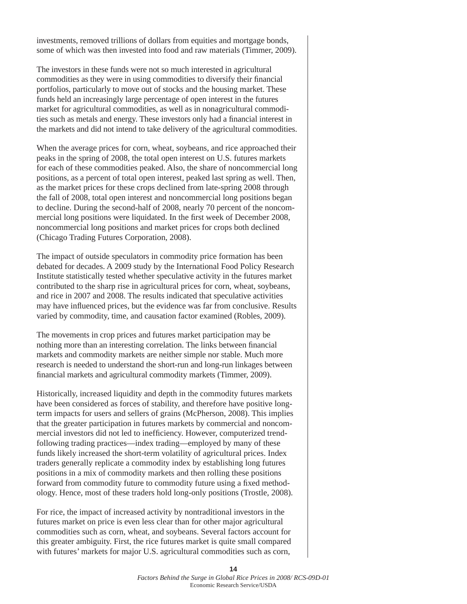investments, removed trillions of dollars from equities and mortgage bonds, some of which was then invested into food and raw materials (Timmer, 2009).

The investors in these funds were not so much interested in agricultural commodities as they were in using commodities to diversify their financial portfolios, particularly to move out of stocks and the housing market. These funds held an increasingly large percentage of open interest in the futures market for agricultural commodities, as well as in nonagricultural commodities such as metals and energy. These investors only had a financial interest in the markets and did not intend to take delivery of the agricultural commodities.

When the average prices for corn, wheat, soybeans, and rice approached their peaks in the spring of 2008, the total open interest on U.S. futures markets for each of these commodities peaked. Also, the share of noncommercial long positions, as a percent of total open interest, peaked last spring as well. Then, as the market prices for these crops declined from late-spring 2008 through the fall of 2008, total open interest and noncommercial long positions began to decline. During the second-half of 2008, nearly 70 percent of the noncommercial long positions were liquidated. In the first week of December 2008, noncommercial long positions and market prices for crops both declined (Chicago Trading Futures Corporation, 2008).

The impact of outside speculators in commodity price formation has been debated for decades. A 2009 study by the International Food Policy Research Institute statistically tested whether speculative activity in the futures market contributed to the sharp rise in agricultural prices for corn, wheat, soybeans, and rice in 2007 and 2008. The results indicated that speculative activities may have influenced prices, but the evidence was far from conclusive. Results varied by commodity, time, and causation factor examined (Robles, 2009).

The movements in crop prices and futures market participation may be nothing more than an interesting correlation. The links between financial markets and commodity markets are neither simple nor stable. Much more research is needed to understand the short-run and long-run linkages between financial markets and agricultural commodity markets (Timmer, 2009).

Historically, increased liquidity and depth in the commodity futures markets have been considered as forces of stability, and therefore have positive longterm impacts for users and sellers of grains (McPherson, 2008). This implies that the greater participation in futures markets by commercial and noncommercial investors did not led to inefficiency. However, computerized trendfollowing trading practices—index trading—employed by many of these funds likely increased the short-term volatility of agricultural prices. Index traders generally replicate a commodity index by establishing long futures positions in a mix of commodity markets and then rolling these positions forward from commodity future to commodity future using a fixed methodology. Hence, most of these traders hold long-only positions (Trostle, 2008).

For rice, the impact of increased activity by nontraditional investors in the futures market on price is even less clear than for other major agricultural commodities such as corn, wheat, and soybeans. Several factors account for this greater ambiguity. First, the rice futures market is quite small compared with futures' markets for major U.S. agricultural commodities such as corn,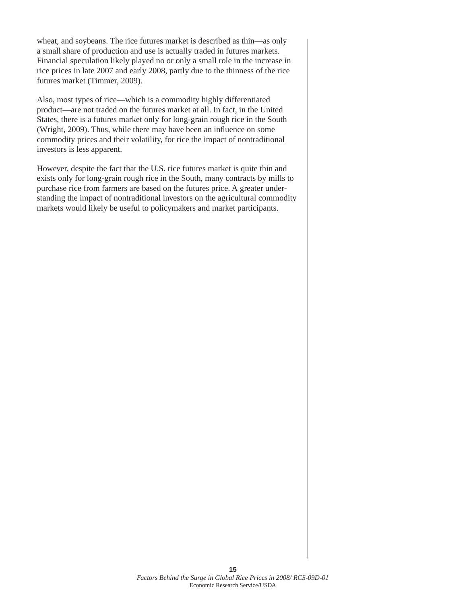wheat, and soybeans. The rice futures market is described as thin—as only a small share of production and use is actually traded in futures markets. Financial speculation likely played no or only a small role in the increase in rice prices in late 2007 and early 2008, partly due to the thinness of the rice futures market (Timmer, 2009).

Also, most types of rice—which is a commodity highly differentiated product—are not traded on the futures market at all. In fact, in the United States, there is a futures market only for long-grain rough rice in the South (Wright, 2009). Thus, while there may have been an influence on some commodity prices and their volatility, for rice the impact of nontraditional investors is less apparent.

However, despite the fact that the U.S. rice futures market is quite thin and exists only for long-grain rough rice in the South, many contracts by mills to purchase rice from farmers are based on the futures price. A greater understanding the impact of nontraditional investors on the agricultural commodity markets would likely be useful to policymakers and market participants.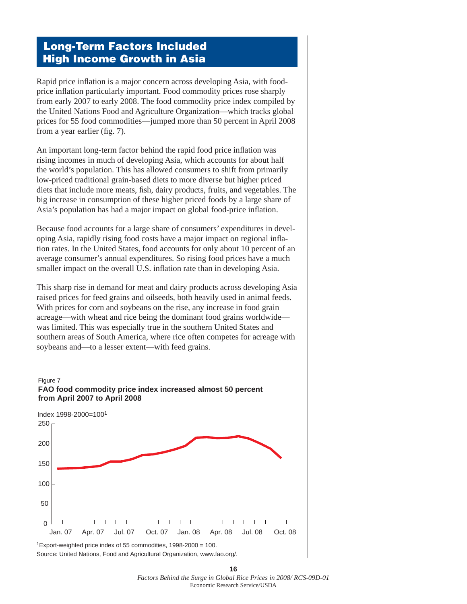# **Long-Term Factors Included High Income Growth in Asia**

Rapid price inflation is a major concern across developing Asia, with foodprice inflation particularly important. Food commodity prices rose sharply from early 2007 to early 2008. The food commodity price index compiled by the United Nations Food and Agriculture Organization—which tracks global prices for 55 food commodities—jumped more than 50 percent in April 2008 from a year earlier (fig. 7).

An important long-term factor behind the rapid food price inflation was rising incomes in much of developing Asia, which accounts for about half the world's population. This has allowed consumers to shift from primarily low-priced traditional grain-based diets to more diverse but higher priced diets that include more meats, fish, dairy products, fruits, and vegetables. The big increase in consumption of these higher priced foods by a large share of Asia's population has had a major impact on global food-price inflation.

Because food accounts for a large share of consumers' expenditures in developing Asia, rapidly rising food costs have a major impact on regional inflation rates. In the United States, food accounts for only about 10 percent of an average consumer's annual expenditures. So rising food prices have a much smaller impact on the overall U.S. inflation rate than in developing Asia.

This sharp rise in demand for meat and dairy products across developing Asia raised prices for feed grains and oilseeds, both heavily used in animal feeds. With prices for corn and soybeans on the rise, any increase in food grain acreage—with wheat and rice being the dominant food grains worldwide was limited. This was especially true in the southern United States and southern areas of South America, where rice often competes for acreage with soybeans and—to a lesser extent—with feed grains.



Source: United Nations, Food and Agricultural Organization, www.fao.org/.

**16** *Factors Behind the Surge in Global Rice Prices in 2008/ RCS-09D-01*  Economic Research Service/USDA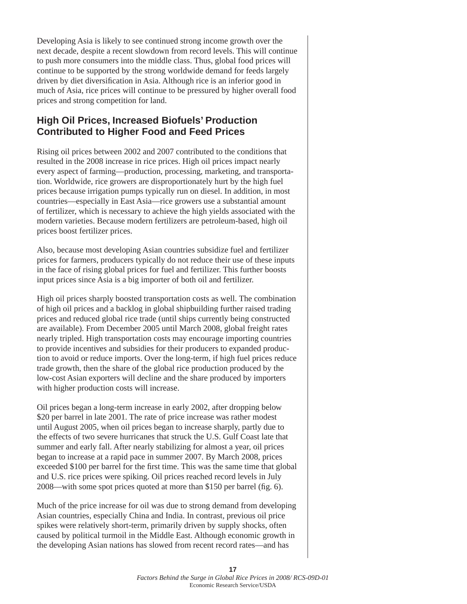Developing Asia is likely to see continued strong income growth over the next decade, despite a recent slowdown from record levels. This will continue to push more consumers into the middle class. Thus, global food prices will continue to be supported by the strong worldwide demand for feeds largely driven by diet diversification in Asia. Although rice is an inferior good in much of Asia, rice prices will continue to be pressured by higher overall food prices and strong competition for land.

### **High Oil Prices, Increased Biofuels' Production Contributed to Higher Food and Feed Prices**

Rising oil prices between 2002 and 2007 contributed to the conditions that resulted in the 2008 increase in rice prices. High oil prices impact nearly every aspect of farming—production, processing, marketing, and transportation. Worldwide, rice growers are disproportionately hurt by the high fuel prices because irrigation pumps typically run on diesel. In addition, in most countries—especially in East Asia—rice growers use a substantial amount of fertilizer, which is necessary to achieve the high yields associated with the modern varieties. Because modern fertilizers are petroleum-based, high oil prices boost fertilizer prices.

Also, because most developing Asian countries subsidize fuel and fertilizer prices for farmers, producers typically do not reduce their use of these inputs in the face of rising global prices for fuel and fertilizer. This further boosts input prices since Asia is a big importer of both oil and fertilizer.

High oil prices sharply boosted transportation costs as well. The combination of high oil prices and a backlog in global shipbuilding further raised trading prices and reduced global rice trade (until ships currently being constructed are available). From December 2005 until March 2008, global freight rates nearly tripled. High transportation costs may encourage importing countries to provide incentives and subsidies for their producers to expanded production to avoid or reduce imports. Over the long-term, if high fuel prices reduce trade growth, then the share of the global rice production produced by the low-cost Asian exporters will decline and the share produced by importers with higher production costs will increase.

Oil prices began a long-term increase in early 2002, after dropping below \$20 per barrel in late 2001. The rate of price increase was rather modest until August 2005, when oil prices began to increase sharply, partly due to the effects of two severe hurricanes that struck the U.S. Gulf Coast late that summer and early fall. After nearly stabilizing for almost a year, oil prices began to increase at a rapid pace in summer 2007. By March 2008, prices exceeded \$100 per barrel for the first time. This was the same time that global and U.S. rice prices were spiking. Oil prices reached record levels in July  $2008$ —with some spot prices quoted at more than \$150 per barrel (fig. 6).

Much of the price increase for oil was due to strong demand from developing Asian countries, especially China and India. In contrast, previous oil price spikes were relatively short-term, primarily driven by supply shocks, often caused by political turmoil in the Middle East. Although economic growth in the developing Asian nations has slowed from recent record rates—and has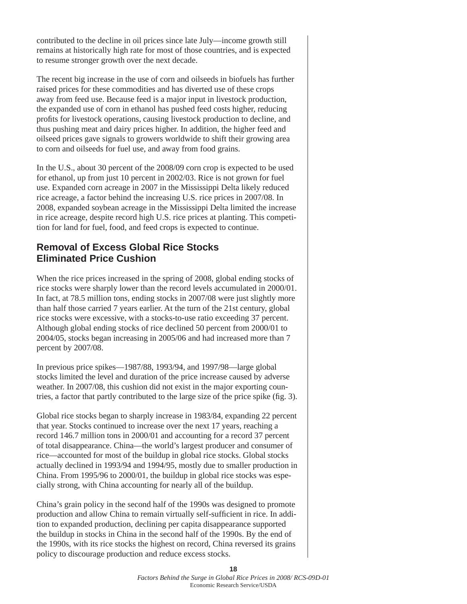contributed to the decline in oil prices since late July—income growth still remains at historically high rate for most of those countries, and is expected to resume stronger growth over the next decade.

The recent big increase in the use of corn and oilseeds in biofuels has further raised prices for these commodities and has diverted use of these crops away from feed use. Because feed is a major input in livestock production, the expanded use of corn in ethanol has pushed feed costs higher, reducing profits for livestock operations, causing livestock production to decline, and thus pushing meat and dairy prices higher. In addition, the higher feed and oilseed prices gave signals to growers worldwide to shift their growing area to corn and oilseeds for fuel use, and away from food grains.

In the U.S., about 30 percent of the 2008/09 corn crop is expected to be used for ethanol, up from just 10 percent in 2002/03. Rice is not grown for fuel use. Expanded corn acreage in 2007 in the Mississippi Delta likely reduced rice acreage, a factor behind the increasing U.S. rice prices in 2007/08. In 2008, expanded soybean acreage in the Mississippi Delta limited the increase in rice acreage, despite record high U.S. rice prices at planting. This competition for land for fuel, food, and feed crops is expected to continue.

### **Removal of Excess Global Rice Stocks Eliminated Price Cushion**

When the rice prices increased in the spring of 2008, global ending stocks of rice stocks were sharply lower than the record levels accumulated in 2000/01. In fact, at 78.5 million tons, ending stocks in 2007/08 were just slightly more than half those carried 7 years earlier. At the turn of the 21st century, global rice stocks were excessive, with a stocks-to-use ratio exceeding 37 percent. Although global ending stocks of rice declined 50 percent from 2000/01 to 2004/05, stocks began increasing in 2005/06 and had increased more than 7 percent by 2007/08.

In previous price spikes—1987/88, 1993/94, and 1997/98—large global stocks limited the level and duration of the price increase caused by adverse weather. In 2007/08, this cushion did not exist in the major exporting countries, a factor that partly contributed to the large size of the price spike (fig. 3).

Global rice stocks began to sharply increase in 1983/84, expanding 22 percent that year. Stocks continued to increase over the next 17 years, reaching a record 146.7 million tons in 2000/01 and accounting for a record 37 percent of total disappearance. China—the world's largest producer and consumer of rice—accounted for most of the buildup in global rice stocks. Global stocks actually declined in 1993/94 and 1994/95, mostly due to smaller production in China. From 1995/96 to 2000/01, the buildup in global rice stocks was especially strong, with China accounting for nearly all of the buildup.

China's grain policy in the second half of the 1990s was designed to promote production and allow China to remain virtually self-sufficient in rice. In addition to expanded production, declining per capita disappearance supported the buildup in stocks in China in the second half of the 1990s. By the end of the 1990s, with its rice stocks the highest on record, China reversed its grains policy to discourage production and reduce excess stocks.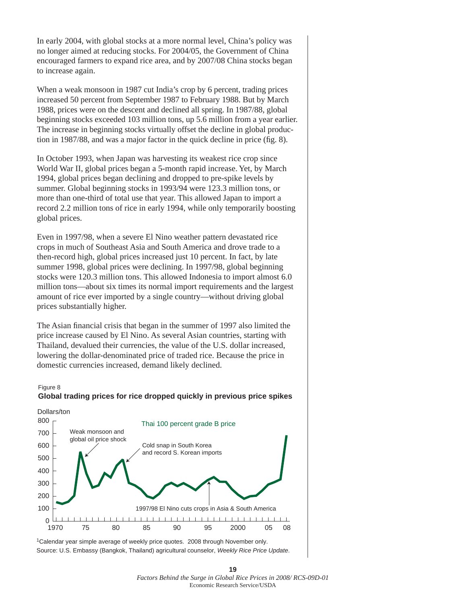In early 2004, with global stocks at a more normal level, China's policy was no longer aimed at reducing stocks. For 2004/05, the Government of China encouraged farmers to expand rice area, and by 2007/08 China stocks began to increase again.

When a weak monsoon in 1987 cut India's crop by 6 percent, trading prices increased 50 percent from September 1987 to February 1988. But by March 1988, prices were on the descent and declined all spring. In 1987/88, global beginning stocks exceeded 103 million tons, up 5.6 million from a year earlier. The increase in beginning stocks virtually offset the decline in global production in 1987/88, and was a major factor in the quick decline in price (fig. 8).

In October 1993, when Japan was harvesting its weakest rice crop since World War II, global prices began a 5-month rapid increase. Yet, by March 1994, global prices began declining and dropped to pre-spike levels by summer. Global beginning stocks in 1993/94 were 123.3 million tons, or more than one-third of total use that year. This allowed Japan to import a record 2.2 million tons of rice in early 1994, while only temporarily boosting global prices.

Even in 1997/98, when a severe El Nino weather pattern devastated rice crops in much of Southeast Asia and South America and drove trade to a then-record high, global prices increased just 10 percent. In fact, by late summer 1998, global prices were declining. In 1997/98, global beginning stocks were 120.3 million tons. This allowed Indonesia to import almost 6.0 million tons—about six times its normal import requirements and the largest amount of rice ever imported by a single country—without driving global prices substantially higher.

The Asian financial crisis that began in the summer of 1997 also limited the price increase caused by El Nino. As several Asian countries, starting with Thailand, devalued their currencies, the value of the U.S. dollar increased, lowering the dollar-denominated price of traded rice. Because the price in domestic currencies increased, demand likely declined.

#### Figure 8





<sup>1</sup>Calendar year simple average of weekly price quotes. 2008 through November only. Source: U.S. Embassy (Bangkok, Thailand) agricultural counselor, *Weekly Rice Price Update*.

**19** *Factors Behind the Surge in Global Rice Prices in 2008/ RCS-09D-01* Economic Research Service/USDA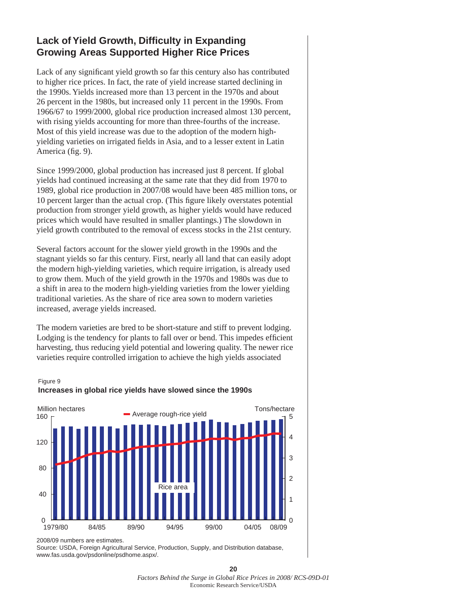### **Lack of Yield Growth, Difficulty in Expanding Growing Areas Supported Higher Rice Prices**

Lack of any significant yield growth so far this century also has contributed to higher rice prices. In fact, the rate of yield increase started declining in the 1990s. Yields increased more than 13 percent in the 1970s and about 26 percent in the 1980s, but increased only 11 percent in the 1990s. From 1966/67 to 1999/2000, global rice production increased almost 130 percent, with rising yields accounting for more than three-fourths of the increase. Most of this yield increase was due to the adoption of the modern highyielding varieties on irrigated fields in Asia, and to a lesser extent in Latin America (fig. 9).

Since 1999/2000, global production has increased just 8 percent. If global yields had continued increasing at the same rate that they did from 1970 to 1989, global rice production in 2007/08 would have been 485 million tons, or 10 percent larger than the actual crop. (This figure likely overstates potential production from stronger yield growth, as higher yields would have reduced prices which would have resulted in smaller plantings.) The slowdown in yield growth contributed to the removal of excess stocks in the 21st century.

Several factors account for the slower yield growth in the 1990s and the stagnant yields so far this century. First, nearly all land that can easily adopt the modern high-yielding varieties, which require irrigation, is already used to grow them. Much of the yield growth in the 1970s and 1980s was due to a shift in area to the modern high-yielding varieties from the lower yielding traditional varieties. As the share of rice area sown to modern varieties increased, average yields increased.

The modern varieties are bred to be short-stature and stiff to prevent lodging. Lodging is the tendency for plants to fall over or bend. This impedes efficient harvesting, thus reducing yield potential and lowering quality. The newer rice varieties require controlled irrigation to achieve the high yields associated

#### Figure 9 **Increases in global rice yields have slowed since the 1990s**



<sup>2008/0</sup>9 numbers are estimates.

Source: USDA, Foreign Agricultural Service, Production, Supply, and Distribution database, www.fas.usda.gov/psdonline/psdhome.aspx/.

#### **20** *Factors Behind the Surge in Global Rice Prices in 2008/ RCS-09D-01*  Economic Research Service/USDA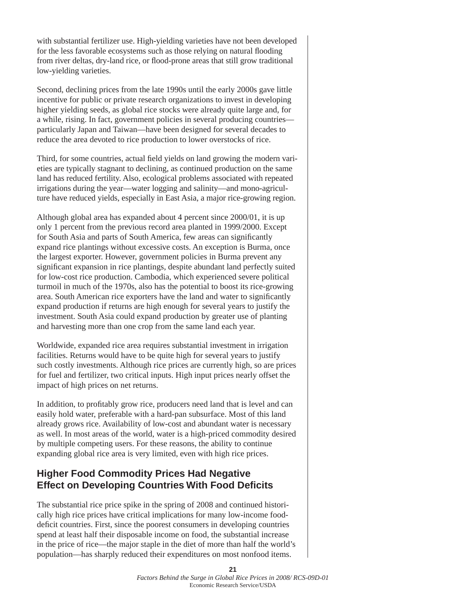with substantial fertilizer use. High-yielding varieties have not been developed for the less favorable ecosystems such as those relying on natural flooding from river deltas, dry-land rice, or flood-prone areas that still grow traditional low-yielding varieties.

Second, declining prices from the late 1990s until the early 2000s gave little incentive for public or private research organizations to invest in developing higher yielding seeds, as global rice stocks were already quite large and, for a while, rising. In fact, government policies in several producing countries particularly Japan and Taiwan—have been designed for several decades to reduce the area devoted to rice production to lower overstocks of rice.

Third, for some countries, actual field yields on land growing the modern varieties are typically stagnant to declining, as continued production on the same land has reduced fertility. Also, ecological problems associated with repeated irrigations during the year—water logging and salinity—and mono-agriculture have reduced yields, especially in East Asia, a major rice-growing region.

Although global area has expanded about 4 percent since 2000/01, it is up only 1 percent from the previous record area planted in 1999/2000. Except for South Asia and parts of South America, few areas can significantly expand rice plantings without excessive costs. An exception is Burma, once the largest exporter. However, government policies in Burma prevent any significant expansion in rice plantings, despite abundant land perfectly suited for low-cost rice production. Cambodia, which experienced severe political turmoil in much of the 1970s, also has the potential to boost its rice-growing area. South American rice exporters have the land and water to significantly expand production if returns are high enough for several years to justify the investment. South Asia could expand production by greater use of planting and harvesting more than one crop from the same land each year.

Worldwide, expanded rice area requires substantial investment in irrigation facilities. Returns would have to be quite high for several years to justify such costly investments. Although rice prices are currently high, so are prices for fuel and fertilizer, two critical inputs. High input prices nearly offset the impact of high prices on net returns.

In addition, to profitably grow rice, producers need land that is level and can easily hold water, preferable with a hard-pan subsurface. Most of this land already grows rice. Availability of low-cost and abundant water is necessary as well. In most areas of the world, water is a high-priced commodity desired by multiple competing users. For these reasons, the ability to continue expanding global rice area is very limited, even with high rice prices.

### **Higher Food Commodity Prices Had Negative Effect on Developing Countries With Food Deficits**

The substantial rice price spike in the spring of 2008 and continued historically high rice prices have critical implications for many low-income fooddeficit countries. First, since the poorest consumers in developing countries spend at least half their disposable income on food, the substantial increase in the price of rice—the major staple in the diet of more than half the world's population—has sharply reduced their expenditures on most nonfood items.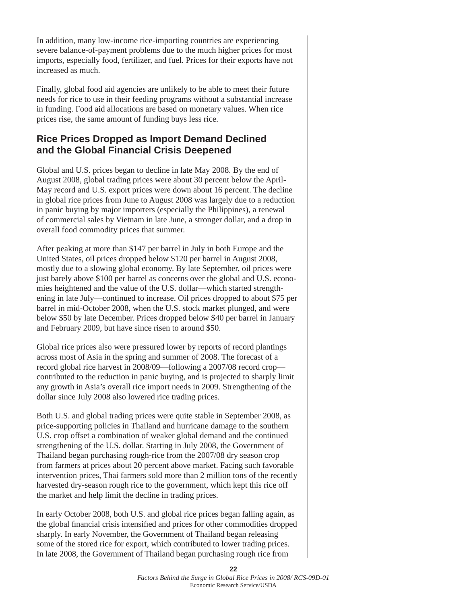In addition, many low-income rice-importing countries are experiencing severe balance-of-payment problems due to the much higher prices for most imports, especially food, fertilizer, and fuel. Prices for their exports have not increased as much.

Finally, global food aid agencies are unlikely to be able to meet their future needs for rice to use in their feeding programs without a substantial increase in funding. Food aid allocations are based on monetary values. When rice prices rise, the same amount of funding buys less rice.

### **Rice Prices Dropped as Import Demand Declined and the Global Financial Crisis Deepened**

Global and U.S. prices began to decline in late May 2008. By the end of August 2008, global trading prices were about 30 percent below the April-May record and U.S. export prices were down about 16 percent. The decline in global rice prices from June to August 2008 was largely due to a reduction in panic buying by major importers (especially the Philippines), a renewal of commercial sales by Vietnam in late June, a stronger dollar, and a drop in overall food commodity prices that summer.

After peaking at more than \$147 per barrel in July in both Europe and the United States, oil prices dropped below \$120 per barrel in August 2008, mostly due to a slowing global economy. By late September, oil prices were just barely above \$100 per barrel as concerns over the global and U.S. economies heightened and the value of the U.S. dollar—which started strengthening in late July—continued to increase. Oil prices dropped to about \$75 per barrel in mid-October 2008, when the U.S. stock market plunged, and were below \$50 by late December. Prices dropped below \$40 per barrel in January and February 2009, but have since risen to around \$50.

Global rice prices also were pressured lower by reports of record plantings across most of Asia in the spring and summer of 2008. The forecast of a record global rice harvest in 2008/09—following a 2007/08 record crop contributed to the reduction in panic buying, and is projected to sharply limit any growth in Asia's overall rice import needs in 2009. Strengthening of the dollar since July 2008 also lowered rice trading prices.

Both U.S. and global trading prices were quite stable in September 2008, as price-supporting policies in Thailand and hurricane damage to the southern U.S. crop offset a combination of weaker global demand and the continued strengthening of the U.S. dollar. Starting in July 2008, the Government of Thailand began purchasing rough-rice from the 2007/08 dry season crop from farmers at prices about 20 percent above market. Facing such favorable intervention prices, Thai farmers sold more than 2 million tons of the recently harvested dry-season rough rice to the government, which kept this rice off the market and help limit the decline in trading prices.

In early October 2008, both U.S. and global rice prices began falling again, as the global financial crisis intensified and prices for other commodities dropped sharply. In early November, the Government of Thailand began releasing some of the stored rice for export, which contributed to lower trading prices. In late 2008, the Government of Thailand began purchasing rough rice from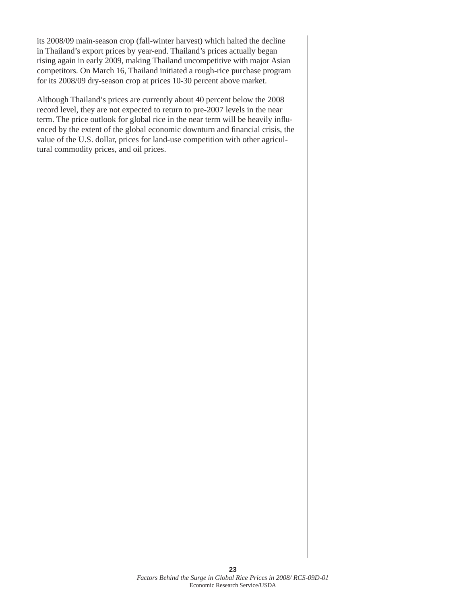its 2008/09 main-season crop (fall-winter harvest) which halted the decline in Thailand's export prices by year-end. Thailand's prices actually began rising again in early 2009, making Thailand uncompetitive with major Asian competitors. On March 16, Thailand initiated a rough-rice purchase program for its 2008/09 dry-season crop at prices 10-30 percent above market.

Although Thailand's prices are currently about 40 percent below the 2008 record level, they are not expected to return to pre-2007 levels in the near term. The price outlook for global rice in the near term will be heavily influenced by the extent of the global economic downturn and financial crisis, the value of the U.S. dollar, prices for land-use competition with other agricultural commodity prices, and oil prices.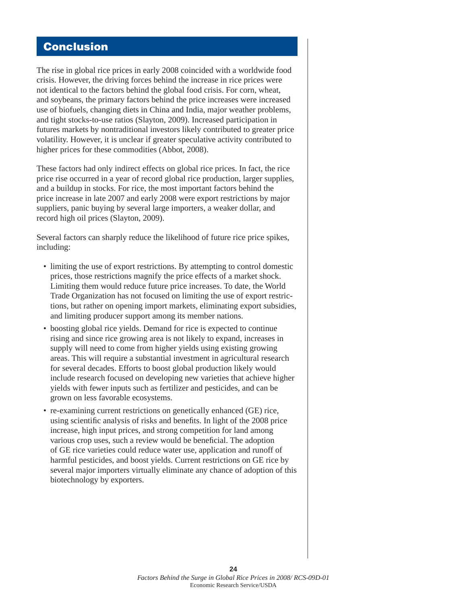# **Conclusion**

The rise in global rice prices in early 2008 coincided with a worldwide food crisis. However, the driving forces behind the increase in rice prices were not identical to the factors behind the global food crisis. For corn, wheat, and soybeans, the primary factors behind the price increases were increased use of biofuels, changing diets in China and India, major weather problems, and tight stocks-to-use ratios (Slayton, 2009). Increased participation in futures markets by nontraditional investors likely contributed to greater price volatility. However, it is unclear if greater speculative activity contributed to higher prices for these commodities (Abbot, 2008).

These factors had only indirect effects on global rice prices. In fact, the rice price rise occurred in a year of record global rice production, larger supplies, and a buildup in stocks. For rice, the most important factors behind the price increase in late 2007 and early 2008 were export restrictions by major suppliers, panic buying by several large importers, a weaker dollar, and record high oil prices (Slayton, 2009).

Several factors can sharply reduce the likelihood of future rice price spikes, including:

- limiting the use of export restrictions. By attempting to control domestic prices, those restrictions magnify the price effects of a market shock. Limiting them would reduce future price increases. To date, the World Trade Organization has not focused on limiting the use of export restrictions, but rather on opening import markets, eliminating export subsidies, and limiting producer support among its member nations.
- boosting global rice yields. Demand for rice is expected to continue rising and since rice growing area is not likely to expand, increases in supply will need to come from higher yields using existing growing areas. This will require a substantial investment in agricultural research for several decades. Efforts to boost global production likely would include research focused on developing new varieties that achieve higher yields with fewer inputs such as fertilizer and pesticides, and can be grown on less favorable ecosystems.
- re-examining current restrictions on genetically enhanced (GE) rice, using scientific analysis of risks and benefits. In light of the 2008 price increase, high input prices, and strong competition for land among various crop uses, such a review would be beneficial. The adoption of GE rice varieties could reduce water use, application and runoff of harmful pesticides, and boost yields. Current restrictions on GE rice by several major importers virtually eliminate any chance of adoption of this biotechnology by exporters.